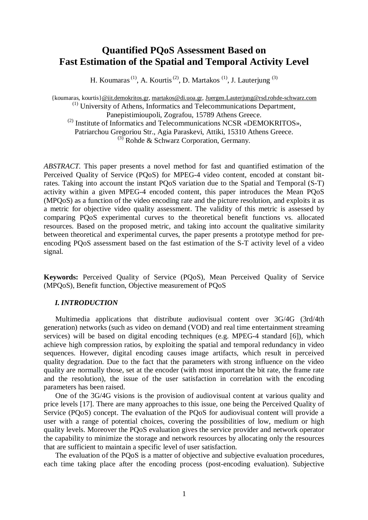# **Quantified PQoS Assessment Based on Fast Estimation of the Spatial and Temporal Activity Level**

H. Koumaras<sup>(1)</sup>, A. Kourtis<sup>(2)</sup>, D. Martakos<sup>(1)</sup>, J. Lauterjung<sup>(3)</sup>

{koumaras, kourtis}[@iit.demokritos.gr](mailto:@iit.demokritos.gr), [martakos@di.uoa.gr,](mailto:martakos@di.uoa.gr) [Juergen.Lauterjung@rsd.rohde-schwarz.com](mailto:Juergen.Lauterjung@rsd.rohde-schwarz.com) (1) University of Athens, Informatics and Telecommunications Department, Panepistimioupoli, Zografou, 15789 Athens Greece. (2) Institute of Informatics and Telecommunications NCSR «DEMOKRITOS», Patriarchou Gregoriou Str., Agia Paraskevi, Attiki, 15310 Athens Greece.  $^{(3)}$  Rohde & Schwarz Corporation. Germany.

*ABSTRACT.* This paper presents a novel method for fast and quantified estimation of the Perceived Quality of Service (PQoS) for MPEG-4 video content, encoded at constant bitrates. Taking into account the instant PQoS variation due to the Spatial and Temporal (S-T) activity within a given MPEG-4 encoded content, this paper introduces the Mean PQoS (MPQoS) as a function of the video encoding rate and the picture resolution, and exploits it as a metric for objective video quality assessment. The validity of this metric is assessed by comparing PQoS experimental curves to the theoretical benefit functions vs. allocated resources. Based on the proposed metric, and taking into account the qualitative similarity between theoretical and experimental curves, the paper presents a prototype method for preencoding PQoS assessment based on the fast estimation of the S-T activity level of a video signal.

**Keywords:** Perceived Quality of Service (PQoS), Mean Perceived Quality of Service (MPQoS), Benefit function, Objective measurement of PQoS

## *I. INTRODUCTION*

Multimedia applications that distribute audiovisual content over 3G/4G (3rd/4th generation) networks (such as video on demand (VOD) and real time entertainment streaming services) will be based on digital encoding techniques (e.g. MPEG-4 standard [6]), which achieve high compression ratios, by exploiting the spatial and temporal redundancy in video sequences. However, digital encoding causes image artifacts, which result in perceived quality degradation. Due to the fact that the parameters with strong influence on the video quality are normally those, set at the encoder (with most important the bit rate, the frame rate and the resolution), the issue of the user satisfaction in correlation with the encoding parameters has been raised.

One of the 3G/4G visions is the provision of audiovisual content at various quality and price levels [17]. There are many approaches to this issue, one being the Perceived Quality of Service (PQoS) concept. The evaluation of the PQoS for audiovisual content will provide a user with a range of potential choices, covering the possibilities of low, medium or high quality levels. Moreover the PQoS evaluation gives the service provider and network operator the capability to minimize the storage and network resources by allocating only the resources that are sufficient to maintain a specific level of user satisfaction.

The evaluation of the PQoS is a matter of objective and subjective evaluation procedures, each time taking place after the encoding process (post-encoding evaluation). Subjective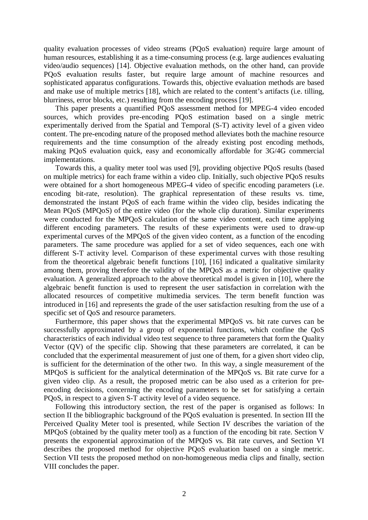quality evaluation processes of video streams (PQoS evaluation) require large amount of human resources, establishing it as a time-consuming process (e.g. large audiences evaluating video/audio sequences) [14]. Objective evaluation methods, on the other hand, can provide PQoS evaluation results faster, but require large amount of machine resources and sophisticated apparatus configurations. Towards this, objective evaluation methods are based and make use of multiple metrics [18], which are related to the content's artifacts (i.e. tilling, blurriness, error blocks, etc.) resulting from the encoding process [19].

This paper presents a quantified PQoS assessment method for MPEG-4 video encoded sources, which provides pre-encoding PQoS estimation based on a single metric experimentally derived from the Spatial and Temporal (S-T) activity level of a given video content. The pre-encoding nature of the proposed method alleviates both the machine resource requirements and the time consumption of the already existing post encoding methods, making PQoS evaluation quick, easy and economically affordable for 3G/4G commercial implementations.

Towards this, a quality meter tool was used [9], providing objective PQoS results (based on multiple metrics) for each frame within a video clip. Initially, such objective PQoS results were obtained for a short homogeneous MPEG-4 video of specific encoding parameters (i.e. encoding bit-rate, resolution). The graphical representation of these results vs. time, demonstrated the instant PQoS of each frame within the video clip, besides indicating the Mean PQoS (MPQoS) of the entire video (for the whole clip duration). Similar experiments were conducted for the MPQoS calculation of the same video content, each time applying different encoding parameters. The results of these experiments were used to draw-up experimental curves of the MPQoS of the given video content, as a function of the encoding parameters. The same procedure was applied for a set of video sequences, each one with different S-T activity level. Comparison of these experimental curves with those resulting from the theoretical algebraic benefit functions [10], [16] indicated a qualitative similarity among them, proving therefore the validity of the MPQoS as a metric for objective quality evaluation. A generalized approach to the above theoretical model is given in [10], where the algebraic benefit function is used to represent the user satisfaction in correlation with the allocated resources of competitive multimedia services. The term benefit function was introduced in [16] and represents the grade of the user satisfaction resulting from the use of a specific set of QoS and resource parameters.

Furthermore, this paper shows that the experimental MPQoS vs. bit rate curves can be successfully approximated by a group of exponential functions, which confine the QoS characteristics of each individual video test sequence to three parameters that form the Quality Vector (QV) of the specific clip. Showing that these parameters are correlated, it can be concluded that the experimental measurement of just one of them, for a given short video clip, is sufficient for the determination of the other two. In this way, a single measurement of the MPQoS is sufficient for the analytical determination of the MPQoS vs. Bit rate curve for a given video clip. As a result, the proposed metric can be also used as a criterion for preencoding decisions, concerning the encoding parameters to be set for satisfying a certain PQoS, in respect to a given S-T activity level of a video sequence.

Following this introductory section, the rest of the paper is organised as follows: In section II the bibliographic background of the PQoS evaluation is presented. In section III the Perceived Quality Meter tool is presented, while Section IV describes the variation of the MPQoS (obtained by the quality meter tool) as a function of the encoding bit rate. Section V presents the exponential approximation of the MPQoS vs. Bit rate curves, and Section VI describes the proposed method for objective PQoS evaluation based on a single metric. Section VII tests the proposed method on non-homogeneous media clips and finally, section VIII concludes the paper.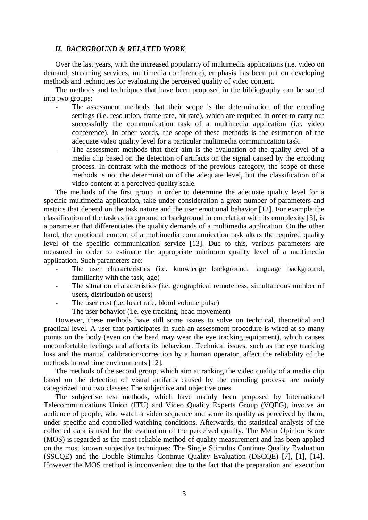#### *II. BACKGROUND & RELATED WORK*

Over the last years, with the increased popularity of multimedia applications (i.e. video on demand, streaming services, multimedia conference), emphasis has been put on developing methods and techniques for evaluating the perceived quality of video content.

The methods and techniques that have been proposed in the bibliography can be sorted into two groups:

- The assessment methods that their scope is the determination of the encoding settings (i.e. resolution, frame rate, bit rate), which are required in order to carry out successfully the communication task of a multimedia application (i.e. video conference). In other words, the scope of these methods is the estimation of the adequate video quality level for a particular multimedia communication task.
- The assessment methods that their aim is the evaluation of the quality level of a media clip based on the detection of artifacts on the signal caused by the encoding process. In contrast with the methods of the previous category, the scope of these methods is not the determination of the adequate level, but the classification of a video content at a perceived quality scale.

The methods of the first group in order to determine the adequate quality level for a specific multimedia application, take under consideration a great number of parameters and metrics that depend on the task nature and the user emotional behavior [12]. For example the classification of the task as foreground or background in correlation with its complexity [3], is a parameter that differentiates the quality demands of a multimedia application. On the other hand, the emotional content of a multimedia communication task alters the required quality level of the specific communication service [13]. Due to this, various parameters are measured in order to estimate the appropriate minimum quality level of a multimedia application. Such parameters are:

- The user characteristics (i.e. knowledge background, language background, familiarity with the task, age)
- The situation characteristics (i.e. geographical remoteness, simultaneous number of users, distribution of users)
- The user cost (i.e. heart rate, blood volume pulse)
- The user behavior (i.e. eye tracking, head movement)

However, these methods have still some issues to solve on technical, theoretical and practical level. A user that participates in such an assessment procedure is wired at so many points on the body (even on the head may wear the eye tracking equipment), which causes uncomfortable feelings and affects its behaviour. Technical issues, such as the eye tracking loss and the manual calibration/correction by a human operator, affect the reliability of the methods in real time environments [12].

The methods of the second group, which aim at ranking the video quality of a media clip based on the detection of visual artifacts caused by the encoding process, are mainly categorized into two classes: The subjective and objective ones.

The subjective test methods, which have mainly been proposed by International Telecommunications Union (ITU) and Video Quality Experts Group (VQEG), involve an audience of people, who watch a video sequence and score its quality as perceived by them, under specific and controlled watching conditions. Afterwards, the statistical analysis of the collected data is used for the evaluation of the perceived quality. The Mean Opinion Score (MOS) is regarded as the most reliable method of quality measurement and has been applied on the most known subjective techniques: The Single Stimulus Continue Quality Evaluation (SSCQE) and the Double Stimulus Continue Quality Evaluation (DSCQE) [7], [1], [14]. However the MOS method is inconvenient due to the fact that the preparation and execution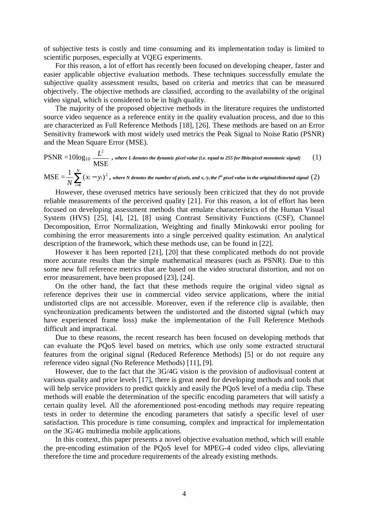of subjective tests is costly and time consuming and its implementation today is limited to scientific purposes, especially at VQEG experiments.

For this reason, a lot of effort has recently been focused on developing cheaper, faster and easier applicable objective evaluation methods. These techniques successfully emulate the subjective quality assessment results, based on criteria and metrics that can be measured objectively. The objective methods are classified, according to the availability of the original video signal, which is considered to be in high quality.

The majority of the proposed objective methods in the literature requires the undistorted source video sequence as a reference entity in the quality evaluation process, and due to this are characterized as Full Reference Methods [18], [26]. These methods are based on an Error Sensitivity framework with most widely used metrics the Peak Signal to Noise Ratio (PSNR) and the Mean Square Error (MSE).

$$
PSNR = 10\log_{10}\frac{L^2}{MSE}
$$
, where L denotes the dynamic pixel value (i.e. equal to 255 for 8 bits/pixel monotonic signal) (1)

 $MSE = \frac{1}{N} \sum_{i=1}^{N} (x_i$ *i*  $x_i - y_i$  $N \sum_{i=1}$  $\frac{1}{N}\sum_{i=1}^N(x_i-y_i)^2$  , where N denotes the number of pixels, and x<sub>i</sub> /y<sub>i</sub>the i<sup>th</sup> pixel value in the original/distorted signal (2)

However, these overused metrics have seriously been criticized that they do not provide reliable measurements of the perceived quality [21]. For this reason, a lot of effort has been focused on developing assessment methods that emulate characteristics of the Human Visual System (HVS) [25], [4], [2], [8] using Contrast Sensitivity Functions (CSF), Channel Decomposition, Error Normalization, Weighting and finally Minkowski error pooling for combining the error measurements into a single perceived quality estimation. An analytical description of the framework, which these methods use, can be found in [22].

However it has been reported [21], [20] that these complicated methods do not provide more accurate results than the simple mathematical measures (such as PSNR). Due to this some new full reference metrics that are based on the video structural distortion, and not on error measurement, have been proposed [23], [24].

On the other hand, the fact that these methods require the original video signal as reference deprives their use in commercial video service applications, where the initial undistorted clips are not accessible. Moreover, even if the reference clip is available, then synchronization predicaments between the undistorted and the distorted signal (which may have experienced frame loss) make the implementation of the Full Reference Methods difficult and impractical.

Due to these reasons, the recent research has been focused on developing methods that can evaluate the PQoS level based on metrics, which use only some extracted structural features from the original signal (Reduced Reference Methods) [5] or do not require any reference video signal (No Reference Methods) [11], [9].

However, due to the fact that the 3G/4G vision is the provision of audiovisual content at various quality and price levels [17], there is great need for developing methods and tools that will help service providers to predict quickly and easily the POoS level of a media clip. These methods will enable the determination of the specific encoding parameters that will satisfy a certain quality level. All the aforementioned post-encoding methods may require repeating tests in order to determine the encoding parameters that satisfy a specific level of user satisfaction. This procedure is time consuming, complex and impractical for implementation on the 3G/4G multimedia mobile applications.

In this context, this paper presents a novel objective evaluation method, which will enable the pre-encoding estimation of the PQoS level for MPEG-4 coded video clips, alleviating therefore the time and procedure requirements of the already existing methods.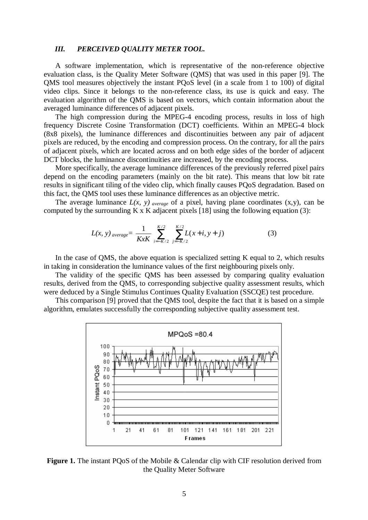#### *III. PERCEIVED QUALITY METER TOOL.*

A software implementation, which is representative of the non-reference objective evaluation class, is the Quality Meter Software (QMS) that was used in this paper [9]. The QMS tool measures objectively the instant PQoS level (in a scale from 1 to 100) of digital video clips. Since it belongs to the non-reference class, its use is quick and easy. The evaluation algorithm of the QMS is based on vectors, which contain information about the averaged luminance differences of adjacent pixels.

The high compression during the MPEG-4 encoding process, results in loss of high frequency Discrete Cosine Transformation (DCT) coefficients. Within an MPEG-4 block (8x8 pixels), the luminance differences and discontinuities between any pair of adjacent pixels are reduced, by the encoding and compression process. On the contrary, for all the pairs of adjacent pixels, which are located across and on both edge sides of the border of adjacent DCT blocks, the luminance discontinuities are increased, by the encoding process.

More specifically, the average luminance differences of the previously referred pixel pairs depend on the encoding parameters (mainly on the bit rate). This means that low bit rate results in significant tiling of the video clip, which finally causes PQoS degradation. Based on this fact, the QMS tool uses these luminance differences as an objective metric.

The average luminance  $L(x, y)$  *average* of a pixel, having plane coordinates  $(x, y)$ , can be computed by the surrounding  $K \times K$  adjacent pixels [18] using the following equation (3):

$$
L(x, y)_{\text{average}} = \frac{1}{KxK} \sum_{i=-K/2}^{K/2} \sum_{j=-K/2}^{K/2} L(x+i, y+j)
$$
 (3)

In the case of QMS, the above equation is specialized setting K equal to 2, which results in taking in consideration the luminance values of the first neighbouring pixels only.

The validity of the specific QMS has been assessed by comparing quality evaluation results, derived from the QMS, to corresponding subjective quality assessment results, which were deduced by a Single Stimulus Continues Quality Evaluation (SSCQE) test procedure.

This comparison [9] proved that the QMS tool, despite the fact that it is based on a simple algorithm, emulates successfully the corresponding subjective quality assessment test.



**Figure 1.** The instant PQoS of the Mobile & Calendar clip with CIF resolution derived from the Quality Meter Software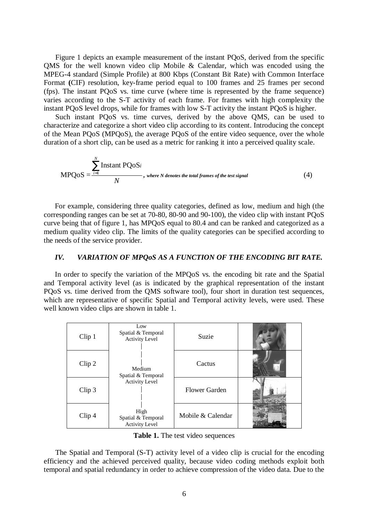Figure 1 depicts an example measurement of the instant PQoS, derived from the specific OMS for the well known video clip Mobile  $&$  Calendar, which was encoded using the MPEG-4 standard (Simple Profile) at 800 Kbps (Constant Bit Rate) with Common Interface Format **(**CIF) resolution, key-frame period equal to 100 frames and 25 frames per second (fps). The instant PQoS vs. time curve (where time is represented by the frame sequence) varies according to the S-T activity of each frame. For frames with high complexity the instant PQoS level drops, while for frames with low S-T activity the instant PQoS is higher.

Such instant PQoS vs. time curves, derived by the above QMS, can be used to characterize and categorize a short video clip according to its content. Introducing the concept of the Mean PQoS (MPQoS), the average PQoS of the entire video sequence, over the whole duration of a short clip, can be used as a metric for ranking it into a perceived quality scale.

$$
MPQoS = \frac{\sum_{i=1}^{N} \text{Instant } PQoS_i}{N}, \text{ where } N \text{ denotes the total frames of the test signal} \tag{4}
$$

For example, considering three quality categories, defined as low, medium and high (the corresponding ranges can be set at 70-80, 80-90 and 90-100), the video clip with instant PQoS curve being that of figure 1, has MPQoS equal to 80.4 and can be ranked and categorized as a medium quality video clip. The limits of the quality categories can be specified according to the needs of the service provider.

# *IV. VARIATION OF MPQoS AS A FUNCTION OF THE ENCODING BIT RATE.*

In order to specify the variation of the MPQoS vs. the encoding bit rate and the Spatial and Temporal activity level (as is indicated by the graphical representation of the instant PQoS vs. time derived from the QMS software tool), four short in duration test sequences, which are representative of specific Spatial and Temporal activity levels, were used. These well known video clips are shown in table 1.

| Clip <sub>1</sub> | Low<br>Spatial & Temporal<br><b>Activity Level</b>                                                           | Suzie             |  |
|-------------------|--------------------------------------------------------------------------------------------------------------|-------------------|--|
| Clip <sub>2</sub> | Medium<br>Spatial & Temporal<br><b>Activity Level</b><br>High<br>Spatial & Temporal<br><b>Activity Level</b> | Cactus            |  |
| Clip 3            |                                                                                                              | Flower Garden     |  |
| Clip 4            |                                                                                                              | Mobile & Calendar |  |

**Table 1.** The test video sequences

The Spatial and Temporal (S-T) activity level of a video clip is crucial for the encoding efficiency and the achieved perceived quality, because video coding methods exploit both temporal and spatial redundancy in order to achieve compression of the video data. Due to the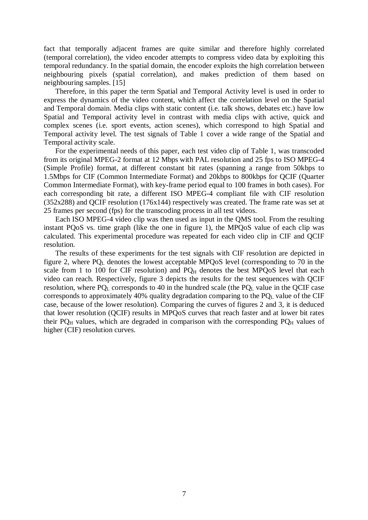fact that temporally adjacent frames are quite similar and therefore highly correlated (temporal correlation), the video encoder attempts to compress video data by exploiting this temporal redundancy. In the spatial domain, the encoder exploits the high correlation between neighbouring pixels (spatial correlation), and makes prediction of them based on neighbouring samples. [15]

Therefore, in this paper the term Spatial and Temporal Activity level is used in order to express the dynamics of the video content, which affect the correlation level on the Spatial and Temporal domain. Media clips with static content (i.e. talk shows, debates etc.) have low Spatial and Temporal activity level in contrast with media clips with active, quick and complex scenes (i.e. sport events, action scenes), which correspond to high Spatial and Temporal activity level. The test signals of Table 1 cover a wide range of the Spatial and Temporal activity scale.

For the experimental needs of this paper, each test video clip of Table 1, was transcoded from its original MPEG-2 format at 12 Mbps with PAL resolution and 25 fps to ISO MPEG-4 (Simple Profile) format, at different constant bit rates (spanning a range from 50kbps to 1.5Mbps for CIF (Common Intermediate Format) and 20kbps to 800kbps for QCIF (Quarter Common Intermediate Format), with key-frame period equal to 100 frames in both cases). For each corresponding bit rate, a different ISO MPEG-4 compliant file with CIF resolution (352x288) and QCIF resolution (176x144) respectively was created. The frame rate was set at 25 frames per second (fps) for the transcoding process in all test videos.

Each ISO MPEG-4 video clip was then used as input in the QMS tool. From the resulting instant PQoS vs. time graph (like the one in figure 1), the MPQoS value of each clip was calculated. This experimental procedure was repeated for each video clip in CIF and QCIF resolution.

The results of these experiments for the test signals with CIF resolution are depicted in figure 2, where  $PQ_L$  denotes the lowest acceptable MPQoS level (corresponding to 70 in the scale from 1 to 100 for CIF resolution) and  $PQ_H$  denotes the best MPQoS level that each video can reach. Respectively, figure 3 depicts the results for the test sequences with QCIF resolution, where  $PQ_L$  corresponds to 40 in the hundred scale (the  $PQ_L$  value in the OCIF case corresponds to approximately 40% quality degradation comparing to the  $PQ_L$  value of the CIF case, because of the lower resolution). Comparing the curves of figures 2 and 3, it is deduced that lower resolution (QCIF) results in MPQoS curves that reach faster and at lower bit rates their PQ $_{\rm H}$  values, which are degraded in comparison with the corresponding PQ $_{\rm H}$  values of higher (CIF) resolution curves.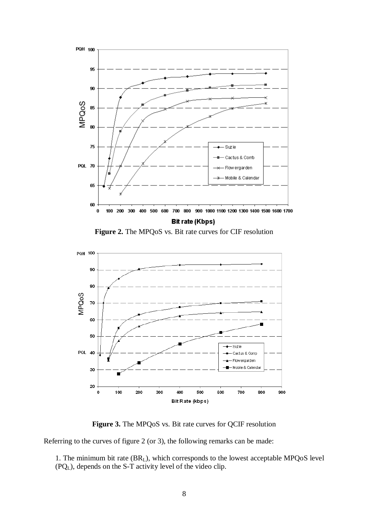

**Figure 2.** The MPQoS vs. Bit rate curves for CIF resolution



**Figure 3.** The MPQoS vs. Bit rate curves for QCIF resolution

Referring to the curves of figure 2 (or 3), the following remarks can be made:

1. The minimum bit rate (BRL), which corresponds to the lowest acceptable MPQoS level (PQL), depends on the S-T activity level of the video clip.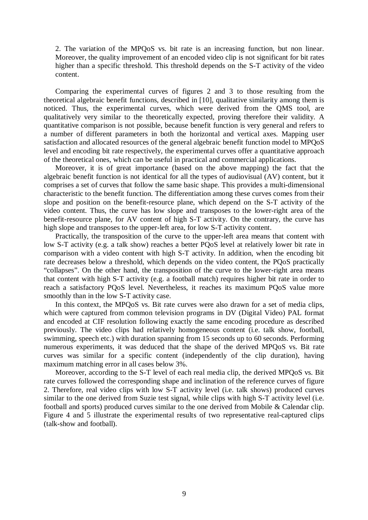2. The variation of the MPQoS vs. bit rate is an increasing function, but non linear. Moreover, the quality improvement of an encoded video clip is not significant for bit rates higher than a specific threshold. This threshold depends on the S-T activity of the video content.

Comparing the experimental curves of figures 2 and 3 to those resulting from the theoretical algebraic benefit functions, described in [10], qualitative similarity among them is noticed. Thus, the experimental curves, which were derived from the QMS tool, are qualitatively very similar to the theoretically expected, proving therefore their validity. A quantitative comparison is not possible, because benefit function is very general and refers to a number of different parameters in both the horizontal and vertical axes. Mapping user satisfaction and allocated resources of the general algebraic benefit function model to MPQoS level and encoding bit rate respectively, the experimental curves offer a quantitative approach of the theoretical ones, which can be useful in practical and commercial applications.

Moreover, it is of great importance (based on the above mapping) the fact that the algebraic benefit function is not identical for all the types of audiovisual (AV) content, but it comprises a set of curves that follow the same basic shape. This provides a multi-dimensional characteristic to the benefit function. The differentiation among these curves comes from their slope and position on the benefit-resource plane, which depend on the S-T activity of the video content. Thus, the curve has low slope and transposes to the lower-right area of the benefit-resource plane, for AV content of high S-T activity. On the contrary, the curve has high slope and transposes to the upper-left area, for low S-T activity content.

Practically, the transposition of the curve to the upper-left area means that content with low S-T activity (e.g. a talk show) reaches a better PQoS level at relatively lower bit rate in comparison with a video content with high S-T activity. In addition, when the encoding bit rate decreases below a threshold, which depends on the video content, the PQoS practically "collapses". On the other hand, the transposition of the curve to the lower-right area means that content with high S-T activity (e.g. a football match) requires higher bit rate in order to reach a satisfactory PQoS level. Nevertheless, it reaches its maximum PQoS value more smoothly than in the low S-T activity case.

In this context, the MPQoS vs. Bit rate curves were also drawn for a set of media clips, which were captured from common television programs in DV (Digital Video) PAL format and encoded at CIF resolution following exactly the same encoding procedure as described previously. The video clips had relatively homogeneous content (i.e. talk show, football, swimming, speech etc.) with duration spanning from 15 seconds up to 60 seconds. Performing numerous experiments, it was deduced that the shape of the derived MPQoS vs. Bit rate curves was similar for a specific content (independently of the clip duration), having maximum matching error in all cases below 3%.

Moreover, according to the S-T level of each real media clip, the derived MPQoS vs. Bit rate curves followed the corresponding shape and inclination of the reference curves of figure 2. Therefore, real video clips with low S-T activity level (i.e. talk shows) produced curves similar to the one derived from Suzie test signal, while clips with high S-T activity level (i.e. football and sports) produced curves similar to the one derived from Mobile & Calendar clip. Figure 4 and 5 illustrate the experimental results of two representative real-captured clips (talk-show and football).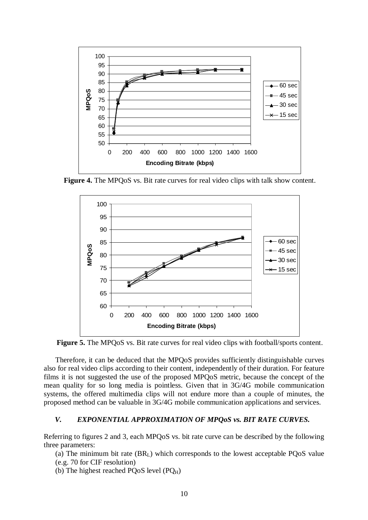

**Figure 4.** The MPQoS vs. Bit rate curves for real video clips with talk show content.



**Figure 5.** The MPQoS vs. Bit rate curves for real video clips with football/sports content.

Therefore, it can be deduced that the MPQoS provides sufficiently distinguishable curves also for real video clips according to their content, independently of their duration. For feature films it is not suggested the use of the proposed MPQoS metric, because the concept of the mean quality for so long media is pointless. Given that in 3G/4G mobile communication systems, the offered multimedia clips will not endure more than a couple of minutes, the proposed method can be valuable in 3G/4G mobile communication applications and services.

#### *V. EXPONENTIAL APPROXIMATION OF MPQoS vs. BIT RATE CURVES.*

Referring to figures 2 and 3, each MPQoS vs. bit rate curve can be described by the following three parameters:

(a) The minimum bit rate  $(BR_L)$  which corresponds to the lowest acceptable PQoS value (e.g. 70 for CIF resolution)

(b) The highest reached PQoS level  $(PQ<sub>H</sub>)$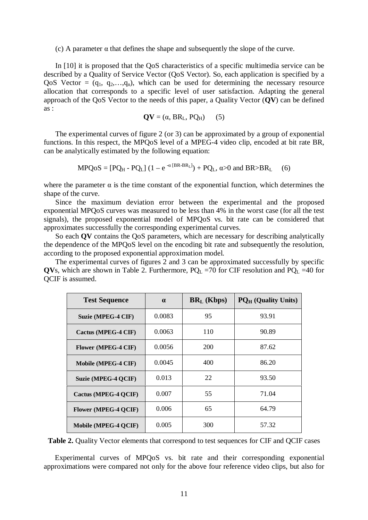(c) A parameter  $\alpha$  that defines the shape and subsequently the slope of the curve.

In [10] it is proposed that the QoS characteristics of a specific multimedia service can be described by a Quality of Service Vector (QoS Vector). So, each application is specified by a QoS Vector =  $(q_1, q_2,...,q_n)$ , which can be used for determining the necessary resource allocation that corresponds to a specific level of user satisfaction. Adapting the general approach of the QoS Vector to the needs of this paper, a Quality Vector (**QV**) can be defined as :

$$
\mathbf{Q}\mathbf{V} = (\alpha, BR_{L}, PQ_{H}) \qquad (5)
$$

The experimental curves of figure 2 (or 3) can be approximated by a group of exponential functions. In this respect, the MPQoS level of a MPEG-4 video clip, encoded at bit rate BR, can be analytically estimated by the following equation:

$$
MPQoS = [PQH - PQL] (1 - e^{-\alpha [BR-BRL]} ) + PQL, \alpha > 0 \text{ and } BR > BRL
$$
 (6)

where the parameter  $\alpha$  is the time constant of the exponential function, which determines the shape of the curve.

Since the maximum deviation error between the experimental and the proposed exponential MPQoS curves was measured to be less than 4% in the worst case (for all the test signals), the proposed exponential model of MPQoS vs. bit rate can be considered that approximates successfully the corresponding experimental curves.

So each **QV** contains the QoS parameters, which are necessary for describing analytically the dependence of the MPQoS level on the encoding bit rate and subsequently the resolution, according to the proposed exponential approximation model.

The experimental curves of figures 2 and 3 can be approximated successfully by specific **QV**s, which are shown in Table 2. Furthermore,  $PQ_L = 70$  for CIF resolution and  $PQ_L = 40$  for QCIF is assumed.

| <b>Test Sequence</b>        | $\alpha$ | $BRL$ (Kbps) | $PQ_H$ (Quality Units) |
|-----------------------------|----------|--------------|------------------------|
| <b>Suzie (MPEG-4 CIF)</b>   | 0.0083   | 95           | 93.91                  |
| Cactus (MPEG-4 CIF)         | 0.0063   | 110          | 90.89                  |
| Flower (MPEG-4 CIF)         | 0.0056   | 200          | 87.62                  |
| Mobile (MPEG-4 CIF)         | 0.0045   | 400          | 86.20                  |
| Suzie (MPEG-4 QCIF)         | 0.013    | 22           | 93.50                  |
| <b>Cactus (MPEG-4 QCIF)</b> | 0.007    | 55           | 71.04                  |
| Flower (MPEG-4 QCIF)        | 0.006    | 65           | 64.79                  |
| Mobile (MPEG-4 QCIF)        | 0.005    | 300          | 57.32                  |

**Table 2.** Quality Vector elements that correspond to test sequences for CIF and QCIF cases

Experimental curves of MPQoS vs. bit rate and their corresponding exponential approximations were compared not only for the above four reference video clips, but also for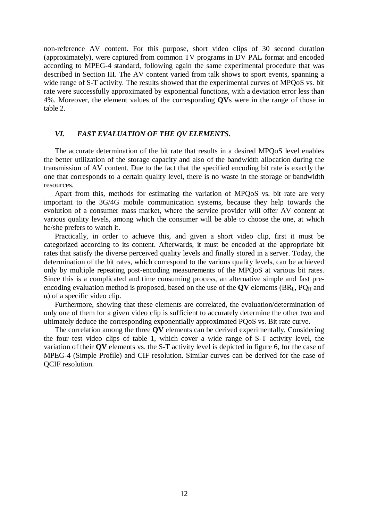non-reference AV content. For this purpose, short video clips of 30 second duration (approximately), were captured from common TV programs in DV PAL format and encoded according to MPEG-4 standard, following again the same experimental procedure that was described in Section III. The AV content varied from talk shows to sport events, spanning a wide range of S-T activity. The results showed that the experimental curves of MPQoS vs. bit rate were successfully approximated by exponential functions, with a deviation error less than 4%. Moreover, the element values of the corresponding **QV**s were in the range of those in table 2.

## *VI. FAST EVALUATION OF THE QV ELEMENTS.*

The accurate determination of the bit rate that results in a desired MPQoS level enables the better utilization of the storage capacity and also of the bandwidth allocation during the transmission of AV content. Due to the fact that the specified encoding bit rate is exactly the one that corresponds to a certain quality level, there is no waste in the storage or bandwidth resources.

Apart from this, methods for estimating the variation of MPQoS vs. bit rate are very important to the 3G/4G mobile communication systems, because they help towards the evolution of a consumer mass market, where the service provider will offer AV content at various quality levels, among which the consumer will be able to choose the one, at which he/she prefers to watch it.

Practically, in order to achieve this, and given a short video clip, first it must be categorized according to its content. Afterwards, it must be encoded at the appropriate bit rates that satisfy the diverse perceived quality levels and finally stored in a server. Today, the determination of the bit rates, which correspond to the various quality levels, can be achieved only by multiple repeating post-encoding measurements of the MPQoS at various bit rates. Since this is a complicated and time consuming process, an alternative simple and fast preencoding evaluation method is proposed, based on the use of the  $\overrightarrow{OV}$  elements ( $BR<sub>L</sub>$ ,  $PO<sub>H</sub>$  and α) of a specific video clip.

Furthermore, showing that these elements are correlated, the evaluation/determination of only one of them for a given video clip is sufficient to accurately determine the other two and ultimately deduce the corresponding exponentially approximated PQoS vs. Bit rate curve.

The correlation among the three **QV** elements can be derived experimentally. Considering the four test video clips of table 1, which cover a wide range of S-T activity level, the variation of their **QV** elements vs. the S-T activity level is depicted in figure 6, for the case of MPEG-4 (Simple Profile) and CIF resolution. Similar curves can be derived for the case of QCIF resolution.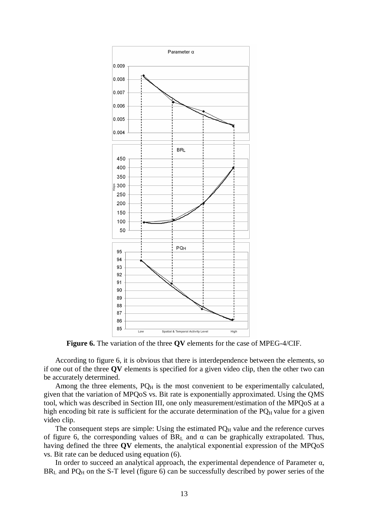

**Figure 6.** The variation of the three **QV** elements for the case of MPEG-4/CIF.

According to figure 6, it is obvious that there is interdependence between the elements, so if one out of the three **QV** elements is specified for a given video clip, then the other two can be accurately determined.

Among the three elements,  $PQ_H$  is the most convenient to be experimentally calculated, given that the variation of MPQoS vs. Bit rate is exponentially approximated. Using the QMS tool, which was described in Section III, one only measurement/estimation of the MPQoS at a high encoding bit rate is sufficient for the accurate determination of the  $PQ_H$  value for a given video clip.

The consequent steps are simple: Using the estimated  $PQ_H$  value and the reference curves of figure 6, the corresponding values of  $BR<sub>L</sub>$  and  $\alpha$  can be graphically extrapolated. Thus, having defined the three **QV** elements, the analytical exponential expression of the MPQoS vs. Bit rate can be deduced using equation (6).

In order to succeed an analytical approach, the experimental dependence of Parameter  $\alpha$ ,  $BR<sub>L</sub>$  and  $PQ<sub>H</sub>$  on the S-T level (figure 6) can be successfully described by power series of the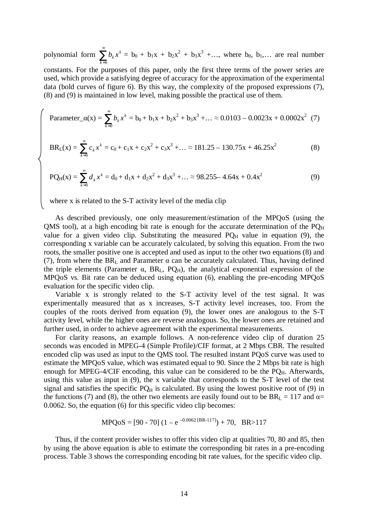polynomial form  $\sum_{n=1}^{\infty}$ *k* =0  $b_k x^k = b_0 + b_1 x + b_2 x^2 + b_3 x^3 + ...$ , where  $b_0, b_1,...$  are real number constants. For the purposes of this paper, only the first three terms of the power series are used, which provide a satisfying degree of accuracy for the approximation of the experimental data (bold curves of figure 6). By this way, the complexity of the proposed expressions (7),

(8) and (9) is maintained in low level, making possible the practical use of them.

Parameter<sub>1</sub>
$$
\alpha(x) = \sum_{k=0}^{\infty} b_k x^k = b_0 + b_1 x + b_2 x^2 + b_3 x^3 + ... \approx 0.0103 - 0.0023x + 0.0002x^2
$$
 (7)

$$
BR_L(x) = \sum_{k=0}^{\infty} c_k x^k = c_0 + c_1 x + c_2 x^2 + c_3 x^3 + \dots \approx 181.25 - 130.75x + 46.25x^2 \tag{8}
$$

$$
PQ_H(x) = \sum_{k=0}^{\infty} d_k x^k = d_0 + d_1 x + d_2 x^2 + d_3 x^3 + \dots \approx 98.255 - 4.64x + 0.4x^2 \tag{9}
$$

where x is related to the S-T activity level of the media clip

As described previously, one only measurement/estimation of the MPQoS (using the QMS tool), at a high encoding bit rate is enough for the accurate determination of the  $PQ_H$ value for a given video clip. Substituting the measured  $PQ_H$  value in equation (9), the corresponding x variable can be accurately calculated, by solving this equation. From the two roots, the smaller positive one is accepted and used as input to the other two equations (8) and (7), from where the  $BR<sub>L</sub>$  and Parameter  $\alpha$  can be accurately calculated. Thus, having defined the triple elements (Parameter  $\alpha$ , BR<sub>L</sub>, PQ<sub>H</sub>), the analytical exponential expression of the MPQoS vs. Bit rate can be deduced using equation (6), enabling the pre-encoding MPQoS evaluation for the specific video clip.

Variable x is strongly related to the S-T activity level of the test signal. It was experimentally measured that as x increases, S-T activity level increases, too. From the couples of the roots derived from equation (9), the lower ones are analogous to the S-T activity level, while the higher ones are reverse analogous. So, the lower ones are retained and further used, in order to achieve agreement with the experimental measurements.

For clarity reasons, an example follows. A non-reference video clip of duration 25 seconds was encoded in MPEG-4 (Simple Profile)/CIF format, at 2 Mbps CBR. The resulted encoded clip was used as input to the QMS tool. The resulted instant PQoS curve was used to estimate the MPQoS value, which was estimated equal to 90. Since the 2 Mbps bit rate is high enough for MPEG-4/CIF encoding, this value can be considered to be the  $PQ_H$ . Afterwards, using this value as input in (9), the x variable that corresponds to the S-T level of the test signal and satisfies the specific  $PQ_H$  is calculated. By using the lowest positive root of (9) in the functions (7) and (8), the other two elements are easily found out to be  $BR<sub>L</sub> = 117$  and  $\alpha$ = 0.0062. So, the equation (6) for this specific video clip becomes:

$$
MPQoS = [90 - 70] (1 - e^{-0.0062 \text{ [BR-117]}}) + 70, \text{ BR} > 117
$$

Thus, if the content provider wishes to offer this video clip at qualities 70, 80 and 85, then by using the above equation is able to estimate the corresponding bit rates in a pre-encoding process. Table 3 shows the corresponding encoding bit rate values, for the specific video clip.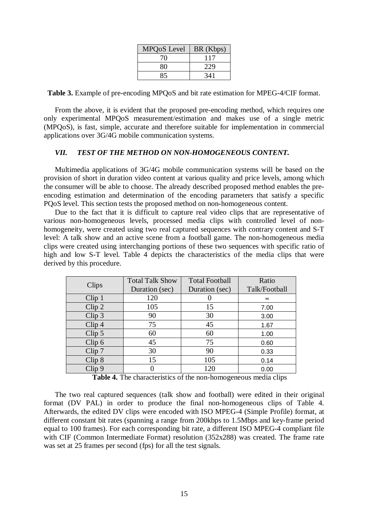| MPQoS Level | BR (Kbps) |  |
|-------------|-----------|--|
| 70          | 117       |  |
|             | 229       |  |
|             | 341       |  |

**Table 3.** Example of pre-encoding MPQoS and bit rate estimation for MPEG-4/CIF format.

From the above, it is evident that the proposed pre-encoding method, which requires one only experimental MPQoS measurement/estimation and makes use of a single metric (MPQoS), is fast, simple, accurate and therefore suitable for implementation in commercial applications over 3G/4G mobile communication systems.

#### *VII. TEST OF THE METHOD ON NON-HOMOGENEOUS CONTENT.*

Multimedia applications of 3G/4G mobile communication systems will be based on the provision of short in duration video content at various quality and price levels, among which the consumer will be able to choose. The already described proposed method enables the preencoding estimation and determination of the encoding parameters that satisfy a specific PQoS level. This section tests the proposed method on non-homogeneous content.

Due to the fact that it is difficult to capture real video clips that are representative of various non-homogeneous levels, processed media clips with controlled level of nonhomogeneity, were created using two real captured sequences with contrary content and S-T level: A talk show and an active scene from a football game. The non-homogeneous media clips were created using interchanging portions of these two sequences with specific ratio of high and low S-T level. Table 4 depicts the characteristics of the media clips that were derived by this procedure.

| Clips             | <b>Total Talk Show</b> | <b>Total Football</b> | Ratio         |
|-------------------|------------------------|-----------------------|---------------|
|                   | Duration (sec)         | Duration (sec)        | Talk/Football |
| Clip <sub>1</sub> | 120                    |                       | $\infty$      |
| Clip 2            | 105                    | 15                    | 7.00          |
| Clip 3            | 90                     | 30                    | 3.00          |
| Clip 4            | 75                     | 45                    | 1.67          |
| Clip 5            | 60                     | 60                    | 1.00          |
| Clip <sub>6</sub> | 45                     | 75                    | 0.60          |
| Clip 7            | 30                     | 90                    | 0.33          |
| Clip 8            | 15                     | 105                   | 0.14          |
| Clip <sub>9</sub> |                        | 120                   | 0.00          |

**Table 4.** The characteristics of the non-homogeneous media clips

The two real captured sequences (talk show and football) were edited in their original format (DV PAL) in order to produce the final non-homogeneous clips of Table 4. Afterwards, the edited DV clips were encoded with ISO MPEG-4 (Simple Profile) format, at different constant bit rates (spanning a range from 200kbps to 1.5Mbps and key-frame period equal to 100 frames). For each corresponding bit rate, a different ISO MPEG-4 compliant file with CIF (Common Intermediate Format) resolution (352x288) was created. The frame rate was set at 25 frames per second (fps) for all the test signals.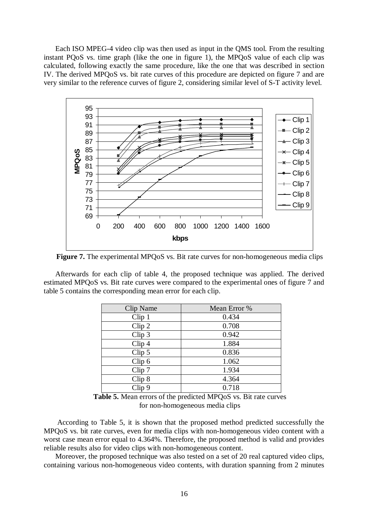Each ISO MPEG-4 video clip was then used as input in the QMS tool. From the resulting instant PQoS vs. time graph (like the one in figure 1), the MPQoS value of each clip was calculated, following exactly the same procedure, like the one that was described in section IV. The derived MPQoS vs. bit rate curves of this procedure are depicted on figure 7 and are very similar to the reference curves of figure 2, considering similar level of S-T activity level.



**Figure 7.** The experimental MPQoS vs. Bit rate curves for non-homogeneous media clips

Afterwards for each clip of table 4, the proposed technique was applied. The derived estimated MPQoS vs. Bit rate curves were compared to the experimental ones of figure 7 and table 5 contains the corresponding mean error for each clip.

| Clip Name         | Mean Error % |  |
|-------------------|--------------|--|
| Clip <sub>1</sub> | 0.434        |  |
| Clip 2            | 0.708        |  |
| Clip 3            | 0.942        |  |
| Clip <sub>4</sub> | 1.884        |  |
| Clip 5            | 0.836        |  |
| Clip 6            | 1.062        |  |
| Clip 7            | 1.934        |  |
| Clip 8            | 4.364        |  |
| Clip <sub>9</sub> | 0.718        |  |

**Table 5.** Mean errors of the predicted MPQoS vs. Bit rate curves for non-homogeneous media clips

According to Table 5, it is shown that the proposed method predicted successfully the MPQoS vs. bit rate curves, even for media clips with non-homogeneous video content with a worst case mean error equal to 4.364%. Therefore, the proposed method is valid and provides reliable results also for video clips with non-homogeneous content.

Moreover, the proposed technique was also tested on a set of 20 real captured video clips, containing various non-homogeneous video contents, with duration spanning from 2 minutes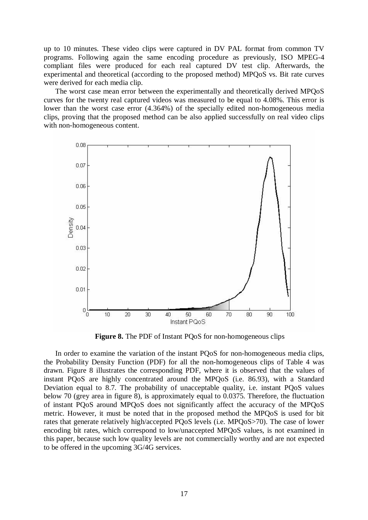up to 10 minutes. These video clips were captured in DV PAL format from common TV programs. Following again the same encoding procedure as previously, ISO MPEG-4 compliant files were produced for each real captured DV test clip. Afterwards, the experimental and theoretical (according to the proposed method) MPQoS vs. Bit rate curves were derived for each media clip.

The worst case mean error between the experimentally and theoretically derived MPQoS curves for the twenty real captured videos was measured to be equal to 4.08%. This error is lower than the worst case error (4.364%) of the specially edited non-homogeneous media clips, proving that the proposed method can be also applied successfully on real video clips with non-homogeneous content.



**Figure 8.** The PDF of Instant PQoS for non-homogeneous clips

In order to examine the variation of the instant PQoS for non-homogeneous media clips, the Probability Density Function (PDF) for all the non-homogeneous clips of Table 4 was drawn. Figure 8 illustrates the corresponding PDF, where it is observed that the values of instant PQoS are highly concentrated around the MPQoS (i.e. 86.93), with a Standard Deviation equal to 8.7. The probability of unacceptable quality, i.e. instant PQoS values below 70 (grey area in figure 8), is approximately equal to 0.0375. Therefore, the fluctuation of instant PQoS around MPQoS does not significantly affect the accuracy of the MPQoS metric. However, it must be noted that in the proposed method the MPQoS is used for bit rates that generate relatively high/accepted PQoS levels (i.e. MPQoS>70). The case of lower encoding bit rates, which correspond to low/unaccepted MPQoS values, is not examined in this paper, because such low quality levels are not commercially worthy and are not expected to be offered in the upcoming 3G/4G services.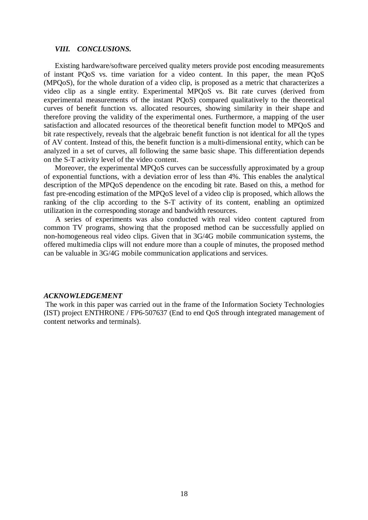#### *VIII. CONCLUSIONS.*

Existing hardware/software perceived quality meters provide post encoding measurements of instant PQoS vs. time variation for a video content. In this paper, the mean PQoS (MPQoS), for the whole duration of a video clip, is proposed as a metric that characterizes a video clip as a single entity. Experimental MPQoS vs. Bit rate curves (derived from experimental measurements of the instant PQoS) compared qualitatively to the theoretical curves of benefit function vs. allocated resources, showing similarity in their shape and therefore proving the validity of the experimental ones. Furthermore, a mapping of the user satisfaction and allocated resources of the theoretical benefit function model to MPQoS and bit rate respectively, reveals that the algebraic benefit function is not identical for all the types of AV content. Instead of this, the benefit function is a multi-dimensional entity, which can be analyzed in a set of curves, all following the same basic shape. This differentiation depends on the S-T activity level of the video content.

Moreover, the experimental MPQoS curves can be successfully approximated by a group of exponential functions, with a deviation error of less than 4%. This enables the analytical description of the MPQoS dependence on the encoding bit rate. Based on this, a method for fast pre-encoding estimation of the MPQoS level of a video clip is proposed, which allows the ranking of the clip according to the S-T activity of its content, enabling an optimized utilization in the corresponding storage and bandwidth resources.

A series of experiments was also conducted with real video content captured from common TV programs, showing that the proposed method can be successfully applied on non-homogeneous real video clips. Given that in 3G/4G mobile communication systems, the offered multimedia clips will not endure more than a couple of minutes, the proposed method can be valuable in 3G/4G mobile communication applications and services.

#### *ACKNOWLEDGEMENT*

The work in this paper was carried out in the frame of the Information Society Technologies (IST) project ENTHRONE / FP6-507637 (End to end QoS through integrated management of content networks and terminals).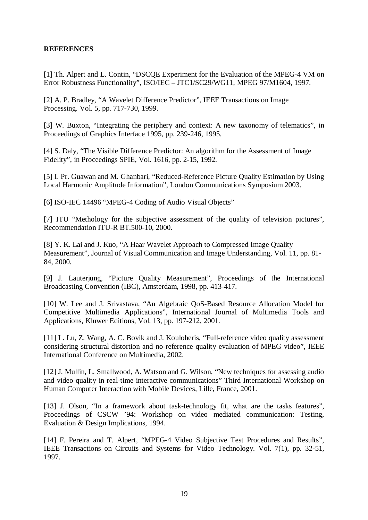# **REFERENCES**

[1] Th. Alpert and L. Contin, "DSCQE Experiment for the Evaluation of the MPEG-4 VM on Error Robustness Functionality", ISO/IEC – JTC1/SC29/WG11, MPEG 97/M1604, 1997.

[2] A. P. Bradley, "A Wavelet Difference Predictor", IEEE Transactions on Image Processing. Vol. 5, pp. 717-730, 1999.

[3] W. Buxton, "Integrating the periphery and context: A new taxonomy of telematics", in Proceedings of Graphics Interface 1995, pp. 239-246, 1995.

[4] S. Daly, "The Visible Difference Predictor: An algorithm for the Assessment of Image Fidelity", in Proceedings SPIE, Vol. 1616, pp. 2-15, 1992.

[5] I. Pr. Guawan and M. Ghanbari, "Reduced-Reference Picture Quality Estimation by Using Local Harmonic Amplitude Information", London Communications Symposium 2003.

[6] ISO-IEC 14496 "MPEG-4 Coding of Audio Visual Objects"

[7] ITU "Methology for the subjective assessment of the quality of television pictures", Recommendation ITU-R BT.500-10, 2000.

[8] Y. K. Lai and J. Kuo, "A Haar Wavelet Approach to Compressed Image Quality Measurement", Journal of Visual Communication and Image Understanding, Vol. 11, pp. 81- 84, 2000.

[9] J. Lauterjung, "Picture Quality Measurement", Proceedings of the International Broadcasting Convention (IBC), Amsterdam, 1998, pp. 413-417.

[10] W. Lee and J. Srivastava, "An Algebraic QoS-Based Resource Allocation Model for Competitive Multimedia Applications", International Journal of Multimedia Tools and Applications, Kluwer Editions, Vol. 13, pp. 197-212, 2001.

[11] L. Lu, Z. Wang, A. C. Bovik and J. Kouloheris, "Full-reference video quality assessment considering structural distortion and no-reference quality evaluation of MPEG video", IEEE International Conference on Multimedia, 2002.

[12] J. Mullin, L. Smallwood, A. Watson and G. Wilson, "New techniques for assessing audio and video quality in real-time interactive communications" Third International Workshop on Human Computer Interaction with Mobile Devices, Lille, France, 2001.

[13] J. Olson, "In a framework about task-technology fit, what are the tasks features", Proceedings of CSCW '94: Workshop on video mediated communication: Testing, Evaluation & Design Implications, 1994.

[14] F. Pereira and T. Alpert, "MPEG-4 Video Subjective Test Procedures and Results", IEEE Transactions on Circuits and Systems for Video Technology. Vol. 7(1), pp. 32-51, 1997.